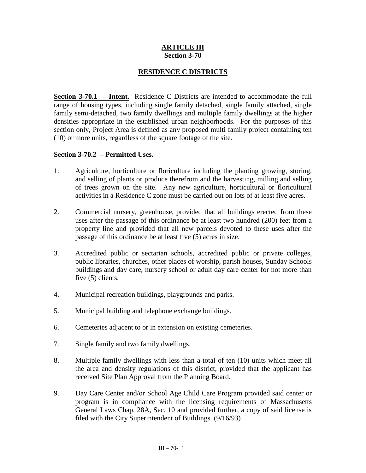## **ARTICLE III Section 3-70**

# **RESIDENCE C DISTRICTS**

**Section 3-70.1 – Intent.** Residence C Districts are intended to accommodate the full range of housing types, including single family detached, single family attached, single family semi-detached, two family dwellings and multiple family dwellings at the higher densities appropriate in the established urban neighborhoods. For the purposes of this section only, Project Area is defined as any proposed multi family project containing ten (10) or more units, regardless of the square footage of the site.

## **Section 3-70.2 – Permitted Uses.**

- 1. Agriculture, horticulture or floriculture including the planting growing, storing, and selling of plants or produce therefrom and the harvesting, milling and selling of trees grown on the site. Any new agriculture, horticultural or floricultural activities in a Residence C zone must be carried out on lots of at least five acres.
- 2. Commercial nursery, greenhouse, provided that all buildings erected from these uses after the passage of this ordinance be at least two hundred (200) feet from a property line and provided that all new parcels devoted to these uses after the passage of this ordinance be at least five (5) acres in size.
- 3. Accredited public or sectarian schools, accredited public or private colleges, public libraries, churches, other places of worship, parish houses, Sunday Schools buildings and day care, nursery school or adult day care center for not more than five (5) clients.
- 4. Municipal recreation buildings, playgrounds and parks.
- 5. Municipal building and telephone exchange buildings.
- 6. Cemeteries adjacent to or in extension on existing cemeteries.
- 7. Single family and two family dwellings.
- 8. Multiple family dwellings with less than a total of ten (10) units which meet all the area and density regulations of this district, provided that the applicant has received Site Plan Approval from the Planning Board.
- 9. Day Care Center and/or School Age Child Care Program provided said center or program is in compliance with the licensing requirements of Massachusetts General Laws Chap. 28A, Sec. 10 and provided further, a copy of said license is filed with the City Superintendent of Buildings. (9/16/93)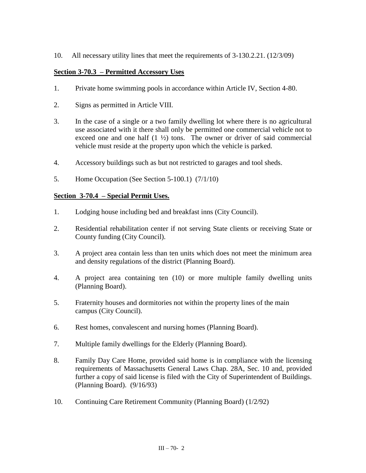10. All necessary utility lines that meet the requirements of 3-130.2.21. (12/3/09)

## **Section 3-70.3 – Permitted Accessory Uses**

- 1. Private home swimming pools in accordance within Article IV, Section 4-80.
- 2. Signs as permitted in Article VIII.
- 3. In the case of a single or a two family dwelling lot where there is no agricultural use associated with it there shall only be permitted one commercial vehicle not to exceed one and one half  $(1 \frac{1}{2})$  tons. The owner or driver of said commercial vehicle must reside at the property upon which the vehicle is parked.
- 4. Accessory buildings such as but not restricted to garages and tool sheds.
- 5. Home Occupation (See Section 5-100.1) (7/1/10)

#### **Section 3-70.4 – Special Permit Uses.**

- 1. Lodging house including bed and breakfast inns (City Council).
- 2. Residential rehabilitation center if not serving State clients or receiving State or County funding (City Council).
- 3. A project area contain less than ten units which does not meet the minimum area and density regulations of the district (Planning Board).
- 4. A project area containing ten (10) or more multiple family dwelling units (Planning Board).
- 5. Fraternity houses and dormitories not within the property lines of the main campus (City Council).
- 6. Rest homes, convalescent and nursing homes (Planning Board).
- 7. Multiple family dwellings for the Elderly (Planning Board).
- 8. Family Day Care Home, provided said home is in compliance with the licensing requirements of Massachusetts General Laws Chap. 28A, Sec. 10 and, provided further a copy of said license is filed with the City of Superintendent of Buildings. (Planning Board). (9/16/93)
- 10. Continuing Care Retirement Community (Planning Board) (1/2/92)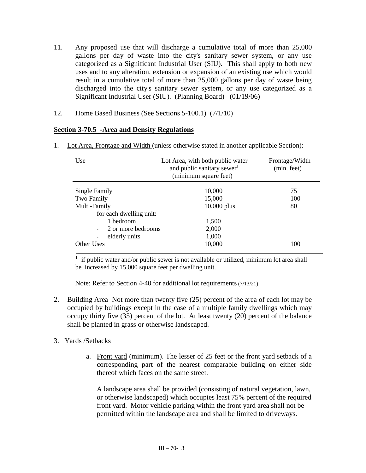- 11. Any proposed use that will discharge a cumulative total of more than 25,000 gallons per day of waste into the city's sanitary sewer system, or any use categorized as a Significant Industrial User (SIU). This shall apply to both new uses and to any alteration, extension or expansion of an existing use which would result in a cumulative total of more than 25,000 gallons per day of waste being discharged into the city's sanitary sewer system, or any use categorized as a Significant Industrial User (SIU). (Planning Board) (01/19/06)
- 12. Home Based Business (See Sections 5-100.1) (7/1/10)

## **Section 3-70.5 -Area and Density Regulations**

1. Lot Area, Frontage and Width (unless otherwise stated in another applicable Section):

| Use                                            | Lot Area, with both public water<br>and public sanitary sewer <sup>1</sup><br>(minimum square feet) | Frontage/Width<br>(min. feet) |
|------------------------------------------------|-----------------------------------------------------------------------------------------------------|-------------------------------|
| Single Family                                  | 10,000                                                                                              | 75                            |
| Two Family                                     | 15,000                                                                                              | 100                           |
| Multi-Family                                   | $10,000$ plus                                                                                       | 80                            |
| for each dwelling unit:                        |                                                                                                     |                               |
| 1 bedroom<br>$\overline{a}$                    | 1,500                                                                                               |                               |
| 2 or more bedrooms<br>$\overline{\phantom{a}}$ | 2,000                                                                                               |                               |
| elderly units<br>$\overline{a}$                | 1,000                                                                                               |                               |
| Other Uses                                     | 10,000                                                                                              | 100                           |

 $<sup>1</sup>$  if public water and/or public sewer is not available or utilized, minimum lot area shall</sup> be increased by 15,000 square feet per dwelling unit.

Note: Refer to Section 4-40 for additional lot requirements (7/13/21)

2. Building Area Not more than twenty five (25) percent of the area of each lot may be occupied by buildings except in the case of a multiple family dwellings which may occupy thirty five (35) percent of the lot. At least twenty (20) percent of the balance shall be planted in grass or otherwise landscaped.

#### 3. Yards /Setbacks

a. Front yard (minimum). The lesser of 25 feet or the front yard setback of a corresponding part of the nearest comparable building on either side thereof which faces on the same street.

A landscape area shall be provided (consisting of natural vegetation, lawn, or otherwise landscaped) which occupies least 75% percent of the required front yard. Motor vehicle parking within the front yard area shall not be permitted within the landscape area and shall be limited to driveways.